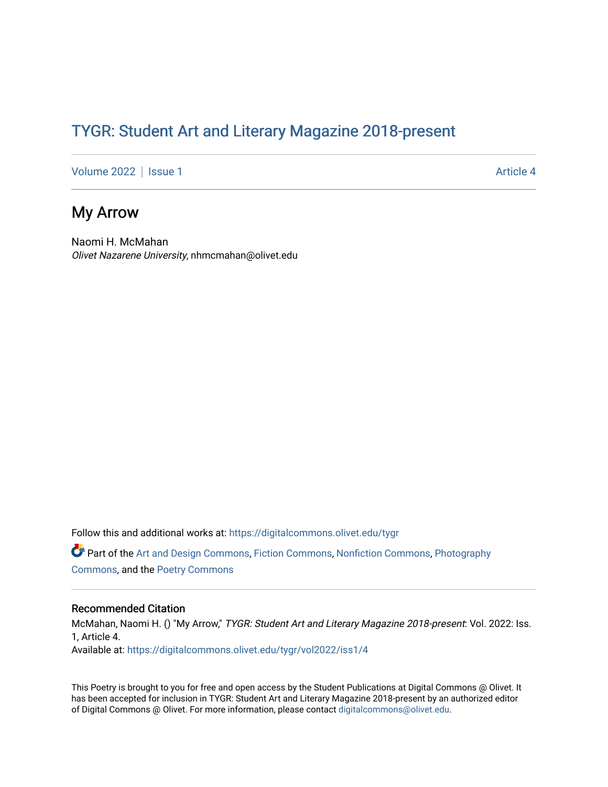## TYGR: Student Art and Literary Magazine 2018-present

[Volume 2022](https://digitalcommons.olivet.edu/tygr/vol2022) | [Issue 1](https://digitalcommons.olivet.edu/tygr/vol2022/iss1) Article 4

## My Arrow

Naomi H. McMahan Olivet Nazarene University, nhmcmahan@olivet.edu

Follow this and additional works at: [https://digitalcommons.olivet.edu/tygr](https://digitalcommons.olivet.edu/tygr?utm_source=digitalcommons.olivet.edu%2Ftygr%2Fvol2022%2Fiss1%2F4&utm_medium=PDF&utm_campaign=PDFCoverPages)

Part of the [Art and Design Commons](http://network.bepress.com/hgg/discipline/1049?utm_source=digitalcommons.olivet.edu%2Ftygr%2Fvol2022%2Fiss1%2F4&utm_medium=PDF&utm_campaign=PDFCoverPages), [Fiction Commons](http://network.bepress.com/hgg/discipline/1151?utm_source=digitalcommons.olivet.edu%2Ftygr%2Fvol2022%2Fiss1%2F4&utm_medium=PDF&utm_campaign=PDFCoverPages), [Nonfiction Commons,](http://network.bepress.com/hgg/discipline/1152?utm_source=digitalcommons.olivet.edu%2Ftygr%2Fvol2022%2Fiss1%2F4&utm_medium=PDF&utm_campaign=PDFCoverPages) [Photography](http://network.bepress.com/hgg/discipline/1142?utm_source=digitalcommons.olivet.edu%2Ftygr%2Fvol2022%2Fiss1%2F4&utm_medium=PDF&utm_campaign=PDFCoverPages) [Commons](http://network.bepress.com/hgg/discipline/1142?utm_source=digitalcommons.olivet.edu%2Ftygr%2Fvol2022%2Fiss1%2F4&utm_medium=PDF&utm_campaign=PDFCoverPages), and the [Poetry Commons](http://network.bepress.com/hgg/discipline/1153?utm_source=digitalcommons.olivet.edu%2Ftygr%2Fvol2022%2Fiss1%2F4&utm_medium=PDF&utm_campaign=PDFCoverPages)

## Recommended Citation

McMahan, Naomi H. () "My Arrow," TYGR: Student Art and Literary Magazine 2018-present: Vol. 2022: Iss. 1, Article 4. Available at: [https://digitalcommons.olivet.edu/tygr/vol2022/iss1/4](https://digitalcommons.olivet.edu/tygr/vol2022/iss1/4?utm_source=digitalcommons.olivet.edu%2Ftygr%2Fvol2022%2Fiss1%2F4&utm_medium=PDF&utm_campaign=PDFCoverPages) 

This Poetry is brought to you for free and open access by the Student Publications at Digital Commons @ Olivet. It has been accepted for inclusion in TYGR: Student Art and Literary Magazine 2018-present by an authorized editor of Digital Commons @ Olivet. For more information, please contact [digitalcommons@olivet.edu.](mailto:digitalcommons@olivet.edu)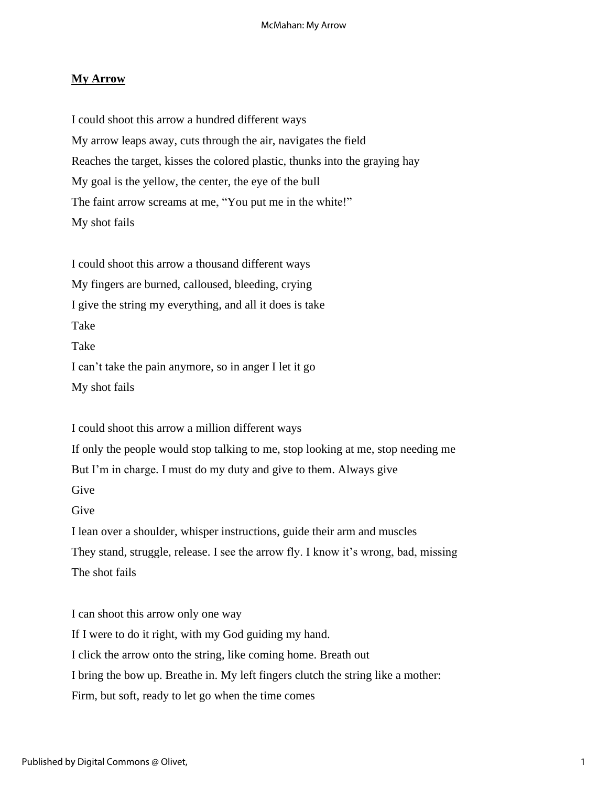## **My Arrow**

I could shoot this arrow a hundred different ways My arrow leaps away, cuts through the air, navigates the field Reaches the target, kisses the colored plastic, thunks into the graying hay My goal is the yellow, the center, the eye of the bull The faint arrow screams at me, "You put me in the white!" My shot fails

I could shoot this arrow a thousand different ways My fingers are burned, calloused, bleeding, crying I give the string my everything, and all it does is take Take Take I can't take the pain anymore, so in anger I let it go My shot fails

I could shoot this arrow a million different ways If only the people would stop talking to me, stop looking at me, stop needing me But I'm in charge. I must do my duty and give to them. Always give Give Give I lean over a shoulder, whisper instructions, guide their arm and muscles They stand, struggle, release. I see the arrow fly. I know it's wrong, bad, missing The shot fails

I can shoot this arrow only one way If I were to do it right, with my God guiding my hand. I click the arrow onto the string, like coming home. Breath out I bring the bow up. Breathe in. My left fingers clutch the string like a mother: Firm, but soft, ready to let go when the time comes